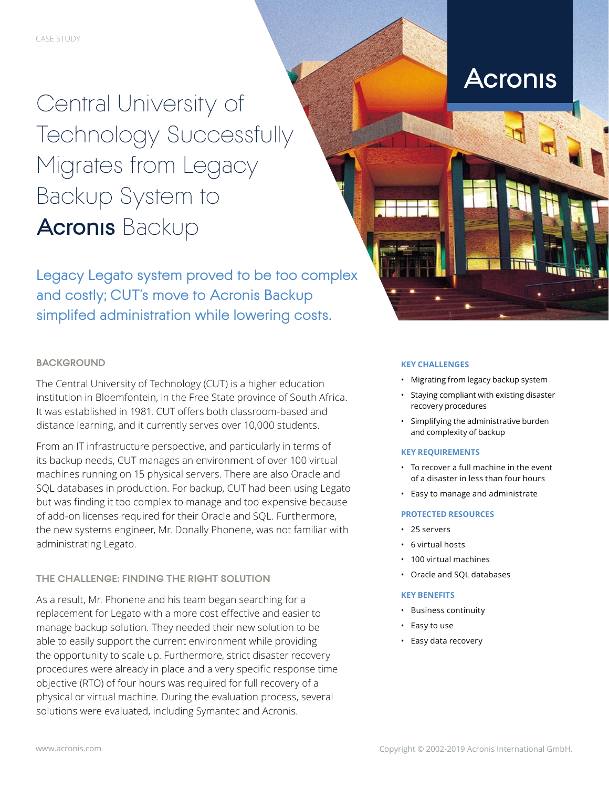Central University of Technology Successfully Migrates from Legacy Backup System to **Acronis Backup** 

Legacy Legato system proved to be too complex and costly; CUT's move to Acronis Backup simplifed administration while lowering costs.

## **BACKGROUND**

The Central University of Technology (CUT) is a higher education institution in Bloemfontein, in the Free State province of South Africa. It was established in 1981. CUT offers both classroom-based and distance learning, and it currently serves over 10,000 students.

From an IT infrastructure perspective, and particularly in terms of its backup needs, CUT manages an environment of over 100 virtual machines running on 15 physical servers. There are also Oracle and SQL databases in production. For backup, CUT had been using Legato but was finding it too complex to manage and too expensive because of add-on licenses required for their Oracle and SQL. Furthermore, the new systems engineer, Mr. Donally Phonene, was not familiar with administrating Legato.

### **THE CHALLENGE: FINDING THE RIGHT SOLUTION**

As a result, Mr. Phonene and his team began searching for a replacement for Legato with a more cost effective and easier to manage backup solution. They needed their new solution to be able to easily support the current environment while providing the opportunity to scale up. Furthermore, strict disaster recovery procedures were already in place and a very specific response time objective (RTO) of four hours was required for full recovery of a physical or virtual machine. During the evaluation process, several solutions were evaluated, including Symantec and Acronis.

# **Acronis**



- Migrating from legacy backup system
- Staying compliant with existing disaster recovery procedures
- Simplifying the administrative burden and complexity of backup

#### **KEY REQUIREMENTS**

- To recover a full machine in the event of a disaster in less than four hours
- Easy to manage and administrate

#### **PROTECTED RESOURCES**

- 25 servers
- 6 virtual hosts
- 100 virtual machines
- Oracle and SQL databases

#### **KEY BENEFITS**

- Business continuity
- Easy to use
- Easy data recovery